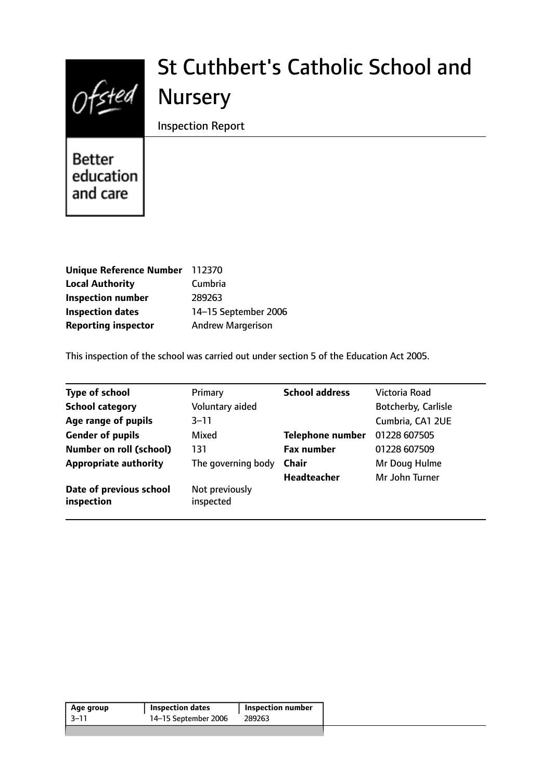

# St Cuthbert's Catholic School and Nursery

Inspection Report

Better education and care

| <b>Unique Reference Number</b> | 112370                   |
|--------------------------------|--------------------------|
| <b>Local Authority</b>         | Cumbria                  |
| <b>Inspection number</b>       | 289263                   |
| <b>Inspection dates</b>        | 14-15 September 2006     |
| <b>Reporting inspector</b>     | <b>Andrew Margerison</b> |

This inspection of the school was carried out under section 5 of the Education Act 2005.

| <b>Type of school</b>                 | Primary                     | <b>School address</b>   | Victoria Road       |
|---------------------------------------|-----------------------------|-------------------------|---------------------|
| <b>School category</b>                | Voluntary aided             |                         | Botcherby, Carlisle |
| Age range of pupils                   | $3 - 11$                    |                         | Cumbria, CA1 2UE    |
| <b>Gender of pupils</b>               | Mixed                       | <b>Telephone number</b> | 01228 607505        |
| <b>Number on roll (school)</b>        | 131                         | <b>Fax number</b>       | 01228 607509        |
| <b>Appropriate authority</b>          | The governing body          | <b>Chair</b>            | Mr Doug Hulme       |
|                                       |                             | <b>Headteacher</b>      | Mr John Turner      |
| Date of previous school<br>inspection | Not previously<br>inspected |                         |                     |

| Age group | <b>Inspection dates</b> | Inspection number |  |
|-----------|-------------------------|-------------------|--|
| 3–11      | 14–15 September 2006    | 289263            |  |
|           |                         |                   |  |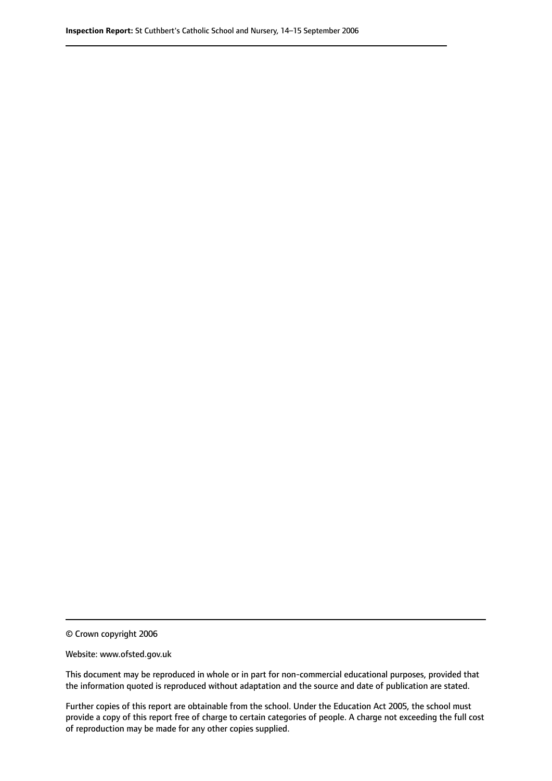© Crown copyright 2006

Website: www.ofsted.gov.uk

This document may be reproduced in whole or in part for non-commercial educational purposes, provided that the information quoted is reproduced without adaptation and the source and date of publication are stated.

Further copies of this report are obtainable from the school. Under the Education Act 2005, the school must provide a copy of this report free of charge to certain categories of people. A charge not exceeding the full cost of reproduction may be made for any other copies supplied.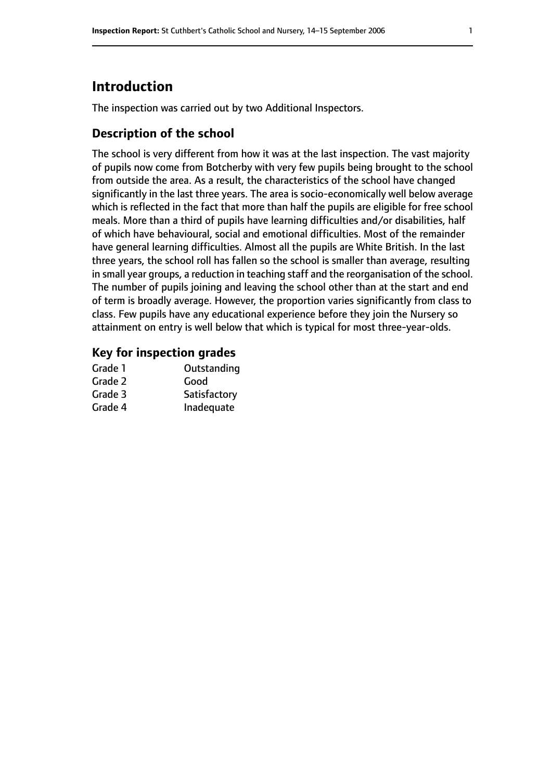# **Introduction**

The inspection was carried out by two Additional Inspectors.

#### **Description of the school**

The school is very different from how it was at the last inspection. The vast majority of pupils now come from Botcherby with very few pupils being brought to the school from outside the area. As a result, the characteristics of the school have changed significantly in the last three years. The area is socio-economically well below average which is reflected in the fact that more than half the pupils are eligible for free school meals. More than a third of pupils have learning difficulties and/or disabilities, half of which have behavioural, social and emotional difficulties. Most of the remainder have general learning difficulties. Almost all the pupils are White British. In the last three years, the school roll has fallen so the school is smaller than average, resulting in small year groups, a reduction in teaching staff and the reorganisation of the school. The number of pupils joining and leaving the school other than at the start and end of term is broadly average. However, the proportion varies significantly from class to class. Few pupils have any educational experience before they join the Nursery so attainment on entry is well below that which is typical for most three-year-olds.

#### **Key for inspection grades**

| Grade 1 | Outstanding  |
|---------|--------------|
| Grade 2 | Good         |
| Grade 3 | Satisfactory |
| Grade 4 | Inadequate   |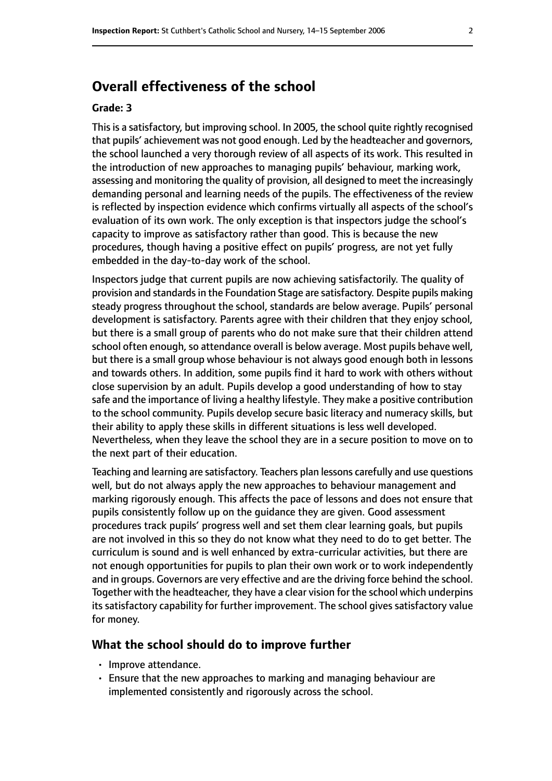# **Overall effectiveness of the school**

#### **Grade: 3**

This is a satisfactory, but improving school. In 2005, the school quite rightly recognised that pupils' achievement was not good enough. Led by the headteacher and governors, the school launched a very thorough review of all aspects of its work. This resulted in the introduction of new approaches to managing pupils' behaviour, marking work, assessing and monitoring the quality of provision, all designed to meet the increasingly demanding personal and learning needs of the pupils. The effectiveness of the review is reflected by inspection evidence which confirms virtually all aspects of the school's evaluation of its own work. The only exception is that inspectors judge the school's capacity to improve as satisfactory rather than good. This is because the new procedures, though having a positive effect on pupils' progress, are not yet fully embedded in the day-to-day work of the school.

Inspectors judge that current pupils are now achieving satisfactorily. The quality of provision and standards in the Foundation Stage are satisfactory. Despite pupils making steady progress throughout the school, standards are below average. Pupils' personal development is satisfactory. Parents agree with their children that they enjoy school, but there is a small group of parents who do not make sure that their children attend school often enough, so attendance overall is below average. Most pupils behave well, but there is a small group whose behaviour is not always good enough both in lessons and towards others. In addition, some pupils find it hard to work with others without close supervision by an adult. Pupils develop a good understanding of how to stay safe and the importance of living a healthy lifestyle. They make a positive contribution to the school community. Pupils develop secure basic literacy and numeracy skills, but their ability to apply these skills in different situations is less well developed. Nevertheless, when they leave the school they are in a secure position to move on to the next part of their education.

Teaching and learning are satisfactory. Teachers plan lessons carefully and use questions well, but do not always apply the new approaches to behaviour management and marking rigorously enough. This affects the pace of lessons and does not ensure that pupils consistently follow up on the guidance they are given. Good assessment procedures track pupils' progress well and set them clear learning goals, but pupils are not involved in this so they do not know what they need to do to get better. The curriculum is sound and is well enhanced by extra-curricular activities, but there are not enough opportunities for pupils to plan their own work or to work independently and in groups. Governors are very effective and are the driving force behind the school. Together with the headteacher, they have a clear vision for the school which underpins its satisfactory capability for further improvement. The school gives satisfactory value for money.

#### **What the school should do to improve further**

- Improve attendance.
- Ensure that the new approaches to marking and managing behaviour are implemented consistently and rigorously across the school.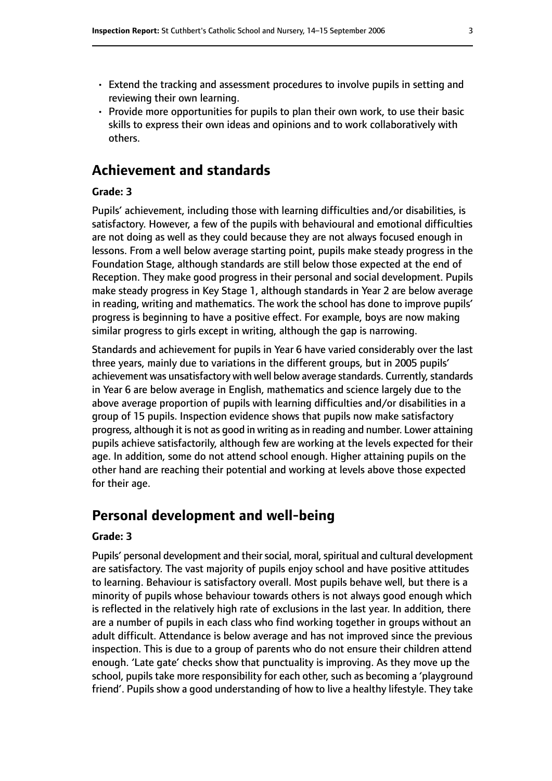- Extend the tracking and assessment procedures to involve pupils in setting and reviewing their own learning.
- Provide more opportunities for pupils to plan their own work, to use their basic skills to express their own ideas and opinions and to work collaboratively with others.

### **Achievement and standards**

#### **Grade: 3**

Pupils' achievement, including those with learning difficulties and/or disabilities, is satisfactory. However, a few of the pupils with behavioural and emotional difficulties are not doing as well as they could because they are not always focused enough in lessons. From a well below average starting point, pupils make steady progress in the Foundation Stage, although standards are still below those expected at the end of Reception. They make good progress in their personal and social development. Pupils make steady progress in Key Stage 1, although standards in Year 2 are below average in reading, writing and mathematics. The work the school has done to improve pupils' progress is beginning to have a positive effect. For example, boys are now making similar progress to girls except in writing, although the gap is narrowing.

Standards and achievement for pupils in Year 6 have varied considerably over the last three years, mainly due to variations in the different groups, but in 2005 pupils' achievement was unsatisfactory with well below average standards. Currently, standards in Year 6 are below average in English, mathematics and science largely due to the above average proportion of pupils with learning difficulties and/or disabilities in a group of 15 pupils. Inspection evidence shows that pupils now make satisfactory progress, although it is not as good in writing as in reading and number. Lower attaining pupils achieve satisfactorily, although few are working at the levels expected for their age. In addition, some do not attend school enough. Higher attaining pupils on the other hand are reaching their potential and working at levels above those expected for their age.

## **Personal development and well-being**

#### **Grade: 3**

Pupils' personal development and their social, moral, spiritual and cultural development are satisfactory. The vast majority of pupils enjoy school and have positive attitudes to learning. Behaviour is satisfactory overall. Most pupils behave well, but there is a minority of pupils whose behaviour towards others is not always good enough which is reflected in the relatively high rate of exclusions in the last year. In addition, there are a number of pupils in each class who find working together in groups without an adult difficult. Attendance is below average and has not improved since the previous inspection. This is due to a group of parents who do not ensure their children attend enough. 'Late gate' checks show that punctuality is improving. As they move up the school, pupils take more responsibility for each other, such as becoming a 'playground friend'. Pupils show a good understanding of how to live a healthy lifestyle. They take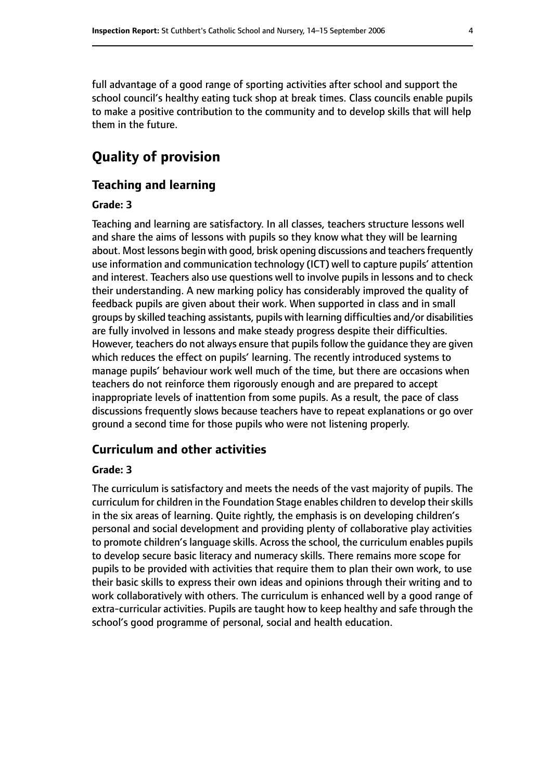full advantage of a good range of sporting activities after school and support the school council's healthy eating tuck shop at break times. Class councils enable pupils to make a positive contribution to the community and to develop skills that will help them in the future.

# **Quality of provision**

#### **Teaching and learning**

#### **Grade: 3**

Teaching and learning are satisfactory. In all classes, teachers structure lessons well and share the aims of lessons with pupils so they know what they will be learning about. Most lessons begin with good, brisk opening discussions and teachers frequently use information and communication technology (ICT) well to capture pupils' attention and interest. Teachers also use questions well to involve pupils in lessons and to check their understanding. A new marking policy has considerably improved the quality of feedback pupils are given about their work. When supported in class and in small groups by skilled teaching assistants, pupils with learning difficulties and/or disabilities are fully involved in lessons and make steady progress despite their difficulties. However, teachers do not always ensure that pupils follow the guidance they are given which reduces the effect on pupils' learning. The recently introduced systems to manage pupils' behaviour work well much of the time, but there are occasions when teachers do not reinforce them rigorously enough and are prepared to accept inappropriate levels of inattention from some pupils. As a result, the pace of class discussions frequently slows because teachers have to repeat explanations or go over ground a second time for those pupils who were not listening properly.

#### **Curriculum and other activities**

#### **Grade: 3**

The curriculum is satisfactory and meets the needs of the vast majority of pupils. The curriculum for children in the Foundation Stage enables children to develop their skills in the six areas of learning. Quite rightly, the emphasis is on developing children's personal and social development and providing plenty of collaborative play activities to promote children's language skills. Across the school, the curriculum enables pupils to develop secure basic literacy and numeracy skills. There remains more scope for pupils to be provided with activities that require them to plan their own work, to use their basic skills to express their own ideas and opinions through their writing and to work collaboratively with others. The curriculum is enhanced well by a good range of extra-curricular activities. Pupils are taught how to keep healthy and safe through the school's good programme of personal, social and health education.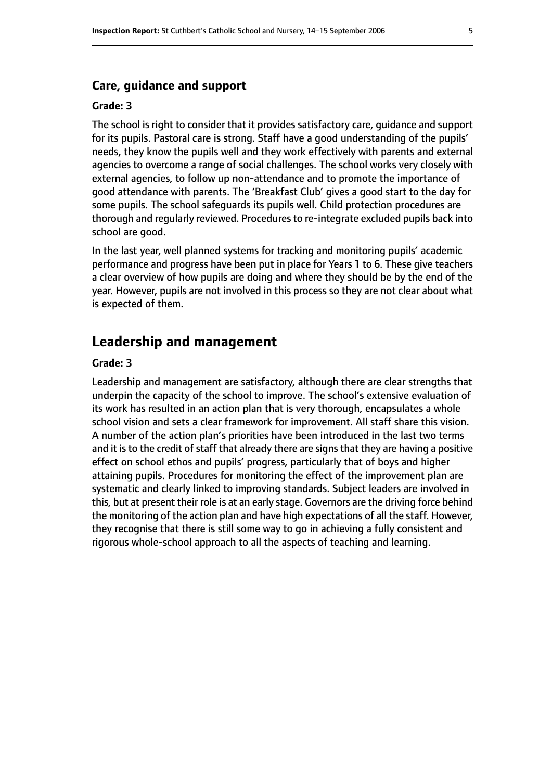#### **Grade: 3**

The school is right to consider that it provides satisfactory care, guidance and support for its pupils. Pastoral care is strong. Staff have a good understanding of the pupils' needs, they know the pupils well and they work effectively with parents and external agencies to overcome a range of social challenges. The school works very closely with external agencies, to follow up non-attendance and to promote the importance of good attendance with parents. The 'Breakfast Club' gives a good start to the day for some pupils. The school safeguards its pupils well. Child protection procedures are thorough and regularly reviewed. Procedures to re-integrate excluded pupils back into school are good.

In the last year, well planned systems for tracking and monitoring pupils' academic performance and progress have been put in place for Years 1 to 6. These give teachers a clear overview of how pupils are doing and where they should be by the end of the year. However, pupils are not involved in this process so they are not clear about what is expected of them.

# **Leadership and management**

#### **Grade: 3**

Leadership and management are satisfactory, although there are clear strengths that underpin the capacity of the school to improve. The school's extensive evaluation of its work has resulted in an action plan that is very thorough, encapsulates a whole school vision and sets a clear framework for improvement. All staff share this vision. A number of the action plan's priorities have been introduced in the last two terms and it is to the credit of staff that already there are signs that they are having a positive effect on school ethos and pupils' progress, particularly that of boys and higher attaining pupils. Procedures for monitoring the effect of the improvement plan are systematic and clearly linked to improving standards. Subject leaders are involved in this, but at present their role is at an early stage. Governors are the driving force behind the monitoring of the action plan and have high expectations of all the staff. However, they recognise that there is still some way to go in achieving a fully consistent and rigorous whole-school approach to all the aspects of teaching and learning.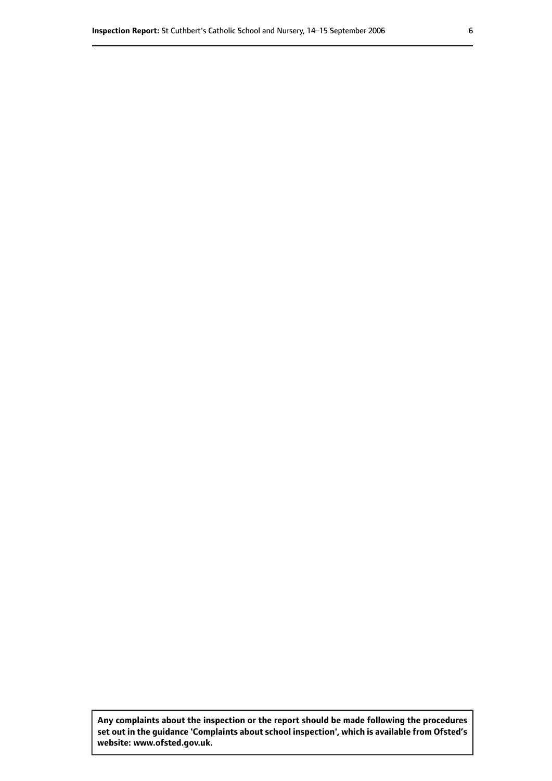**Any complaints about the inspection or the report should be made following the procedures set out inthe guidance 'Complaints about school inspection', whichis available from Ofsted's website: www.ofsted.gov.uk.**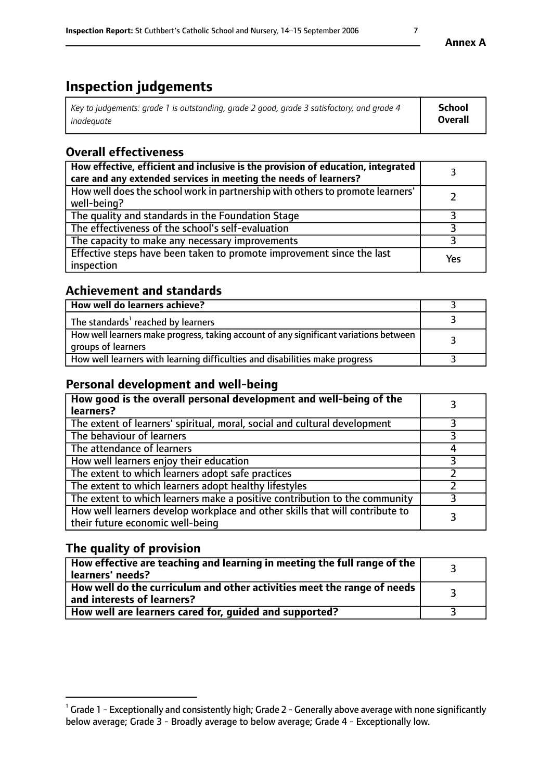# **Inspection judgements**

| Key to judgements: grade 1 is outstanding, grade 2 good, grade 3 satisfactory, and grade 4 | School         |
|--------------------------------------------------------------------------------------------|----------------|
| inadeauate                                                                                 | <b>Overall</b> |

# **Overall effectiveness**

| How effective, efficient and inclusive is the provision of education, integrated<br>care and any extended services in meeting the needs of learners? |     |
|------------------------------------------------------------------------------------------------------------------------------------------------------|-----|
| How well does the school work in partnership with others to promote learners'<br>well-being?                                                         |     |
| The quality and standards in the Foundation Stage                                                                                                    |     |
| The effectiveness of the school's self-evaluation                                                                                                    |     |
| The capacity to make any necessary improvements                                                                                                      |     |
| Effective steps have been taken to promote improvement since the last<br>inspection                                                                  | Yes |

## **Achievement and standards**

| How well do learners achieve?                                                                               |  |
|-------------------------------------------------------------------------------------------------------------|--|
| The standards <sup>1</sup> reached by learners                                                              |  |
| How well learners make progress, taking account of any significant variations between<br>groups of learners |  |
| How well learners with learning difficulties and disabilities make progress                                 |  |

## **Personal development and well-being**

| How good is the overall personal development and well-being of the<br>learners?                                  |  |
|------------------------------------------------------------------------------------------------------------------|--|
| The extent of learners' spiritual, moral, social and cultural development                                        |  |
| The behaviour of learners                                                                                        |  |
| The attendance of learners                                                                                       |  |
| How well learners enjoy their education                                                                          |  |
| The extent to which learners adopt safe practices                                                                |  |
| The extent to which learners adopt healthy lifestyles                                                            |  |
| The extent to which learners make a positive contribution to the community                                       |  |
| How well learners develop workplace and other skills that will contribute to<br>their future economic well-being |  |

## **The quality of provision**

| $\Box$ How effective are teaching and learning in meeting the full range of the $\Box$<br>  learners' needs?        |  |
|---------------------------------------------------------------------------------------------------------------------|--|
| $\mid$ How well do the curriculum and other activities meet the range of needs<br>$\mid$ and interests of learners? |  |
| How well are learners cared for, guided and supported?                                                              |  |

 $^1$  Grade 1 - Exceptionally and consistently high; Grade 2 - Generally above average with none significantly below average; Grade 3 - Broadly average to below average; Grade 4 - Exceptionally low.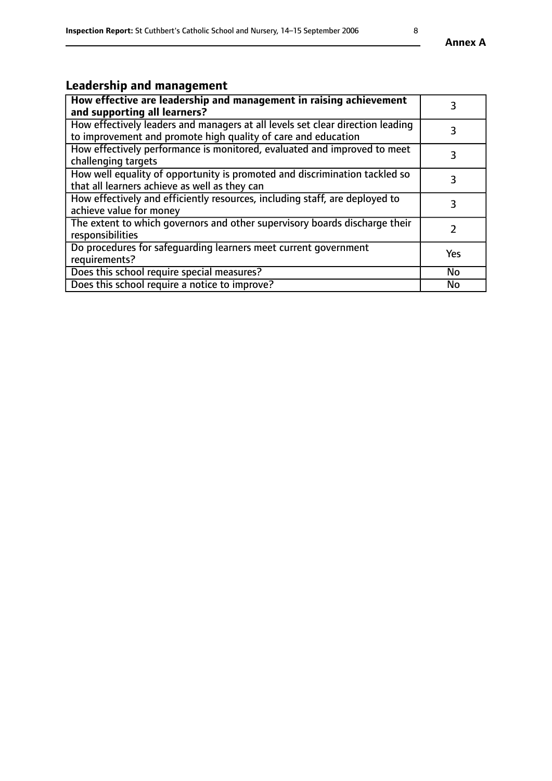# **Leadership and management**

| How effective are leadership and management in raising achievement<br>and supporting all learners?                                              | 3         |
|-------------------------------------------------------------------------------------------------------------------------------------------------|-----------|
| How effectively leaders and managers at all levels set clear direction leading<br>to improvement and promote high quality of care and education |           |
| How effectively performance is monitored, evaluated and improved to meet<br>challenging targets                                                 | 3         |
| How well equality of opportunity is promoted and discrimination tackled so<br>that all learners achieve as well as they can                     |           |
| How effectively and efficiently resources, including staff, are deployed to<br>achieve value for money                                          | 3         |
| The extent to which governors and other supervisory boards discharge their<br>responsibilities                                                  |           |
| Do procedures for safequarding learners meet current government<br>requirements?                                                                | Yes       |
| Does this school require special measures?                                                                                                      | No        |
| Does this school require a notice to improve?                                                                                                   | <b>No</b> |